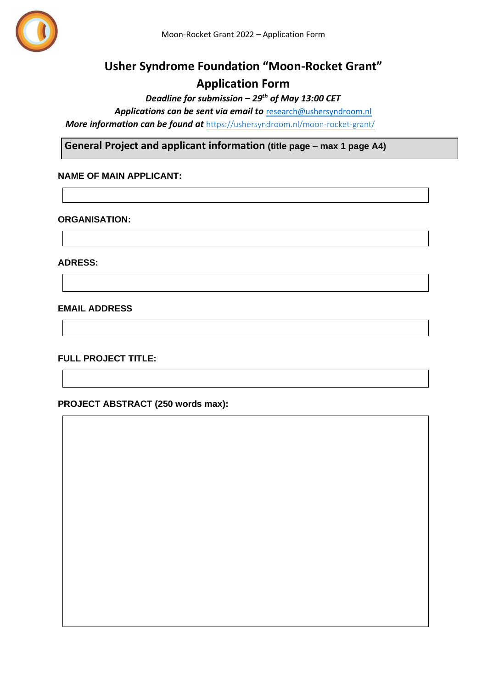

# **Usher Syndrome Foundation "Moon-Rocket Grant" Application Form**

*Deadline for submission – 29th of May 13:00 CET*

*Applications can be sent via email to* [research@ushersyndroom.nl](mailto:research@ushersyndroom.nl)

*More information can be found at <https://ushersyndroom.nl/moon-rocket-grant/>* 

**General Project and applicant information (title page – max 1 page A4)**

## **NAME OF MAIN APPLICANT:**

#### **ORGANISATION:**

**ADRESS:**

**EMAIL ADDRESS** 

**FULL PROJECT TITLE:**

**PROJECT ABSTRACT (250 words max):**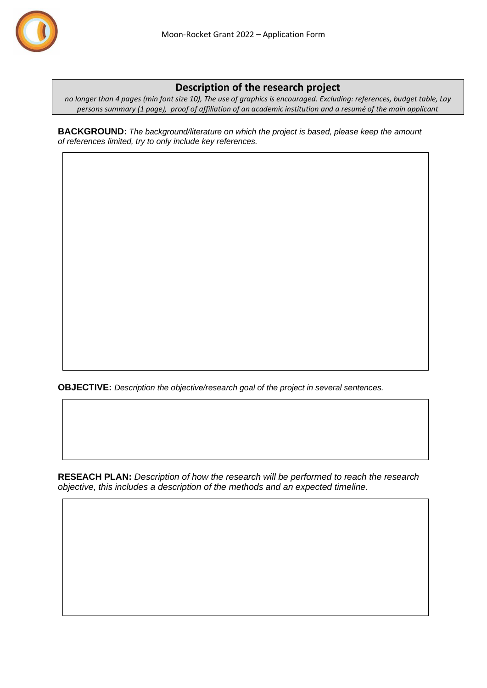

# **Description of the research project**

*no longer than 4 pages (min font size 10), The use of graphics is encouraged. Excluding: references, budget table, Lay persons summary (1 page), proof of affiliation of an academic institution and a resumé of the main applicant*

**BACKGROUND:** *The background/literature on which the project is based, please keep the amount of references limited, try to only include key references.*

**OBJECTIVE:** *Description the objective/research goal of the project in several sentences.*

**RESEACH PLAN:** *Description of how the research will be performed to reach the research objective, this includes a description of the methods and an expected timeline.*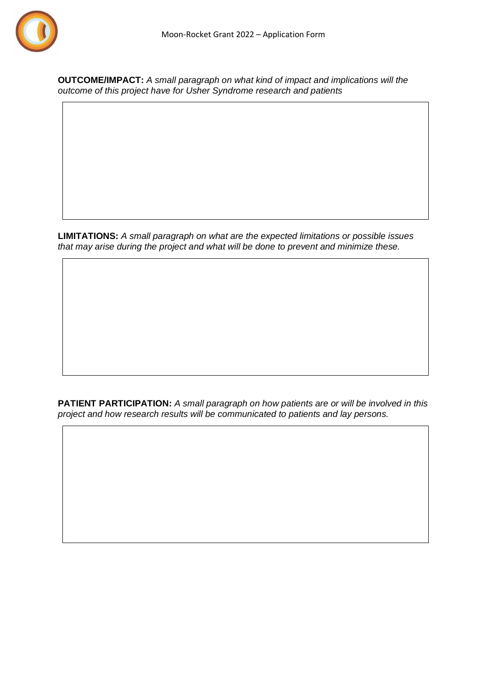

**OUTCOME/IMPACT:** *A small paragraph on what kind of impact and implications will the outcome of this project have for Usher Syndrome research and patients*

**LIMITATIONS:** *A small paragraph on what are the expected limitations or possible issues that may arise during the project and what will be done to prevent and minimize these.*

**PATIENT PARTICIPATION:** *A small paragraph on how patients are or will be involved in this project and how research results will be communicated to patients and lay persons.*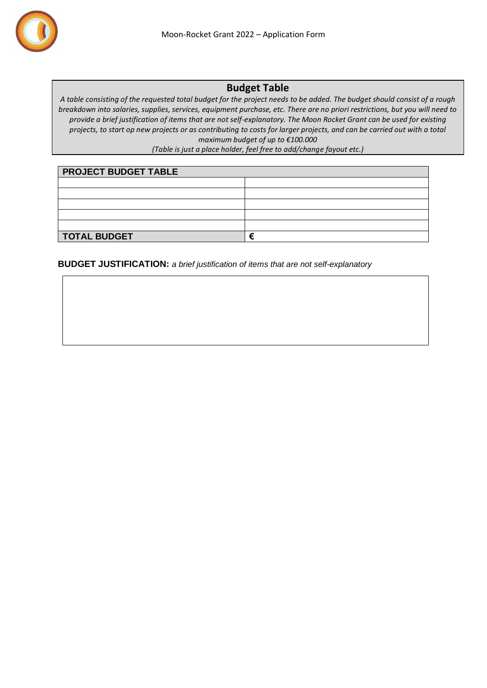

## **Budget Table**

*A table consisting of the requested total budget for the project needs to be added. The budget should consist of a rough breakdown into salaries, supplies, services, equipment purchase, etc. There are no priori restrictions, but you will need to provide a brief justification of items that are not self-explanatory. The Moon Rocket Grant can be used for existing projects, to start op new projects or as contributing to costs for larger projects, and can be carried out with a total maximum budget of up to €100.000*

*(Table is just a place holder, feel free to add/change fayout etc.)*

| <b>PROJECT BUDGET TABLE</b> |  |
|-----------------------------|--|
|                             |  |
|                             |  |
|                             |  |
|                             |  |
|                             |  |
| <b>TOTAL BUDGET</b>         |  |

**BUDGET JUSTIFICATION:** *a brief justification of items that are not self-explanatory*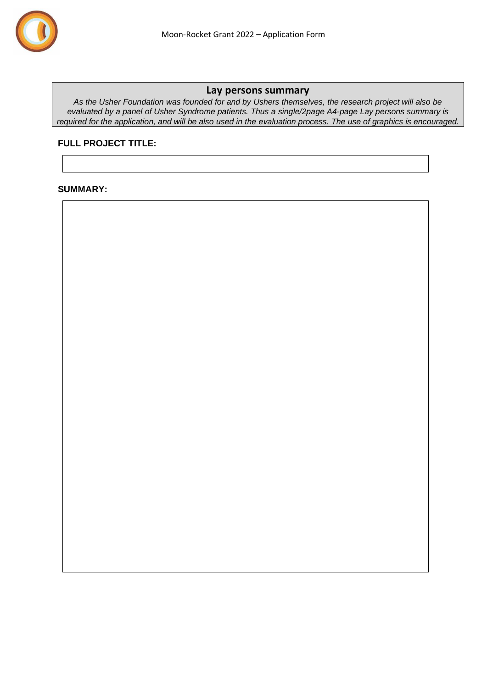

### **Lay persons summary**

*As the Usher Foundation was founded for and by Ushers themselves, the research project will also be evaluated by a panel of Usher Syndrome patients. Thus a single/2page A4-page Lay persons summary is required for the application, and will be also used in the evaluation process. The use of graphics is encouraged.* 

## **FULL PROJECT TITLE:**

## **SUMMARY:**